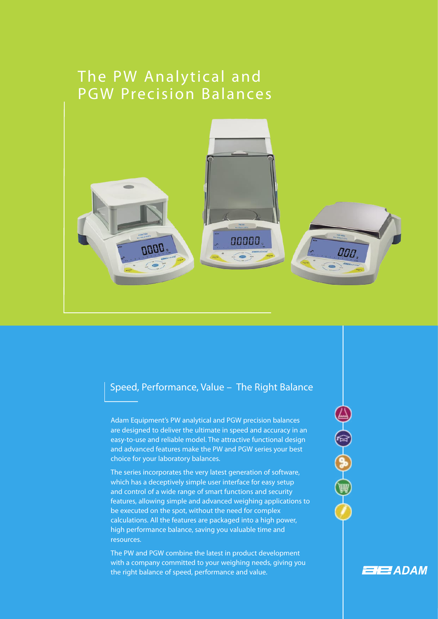# The PW Analytical and PGW Precision Balances



## Speed, Performance, Value – The Right Balance

Adam Equipment's PW analytical and PGW precision balances are designed to deliver the ultimate in speed and accuracy in an easy-to-use and reliable model. The attractive functional design and advanced features make the PW and PGW series your best choice for your laboratory balances.

 $\begin{array}{ccc} & \bullet & \bullet & \bullet \\ & \bullet & \bullet & \bullet \end{array}$ 

**ENER** ADAM

The series incorporates the very latest generation of software, which has a deceptively simple user interface for easy setup and control of a wide range of smart functions and security features, allowing simple and advanced weighing applications to be executed on the spot, without the need for complex calculations. All the features are packaged into a high power, high performance balance, saving you valuable time and resources.

The PW and PGW combine the latest in product development with a company committed to your weighing needs, giving you the right balance of speed, performance and value.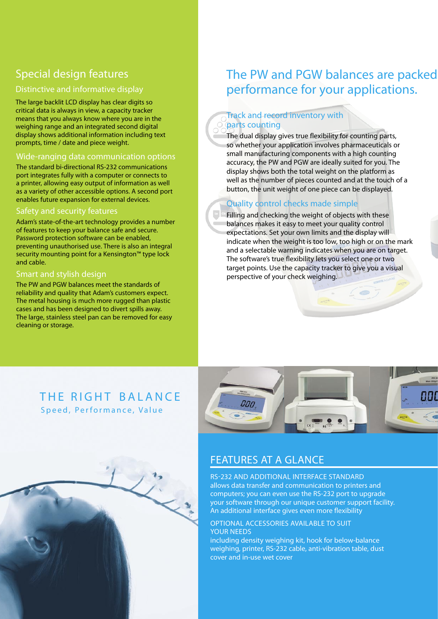## Special design features

#### Distinctive and informative display

The large backlit LCD display has clear digits so critical data is always in view, a capacity tracker means that you always know where you are in the weighing range and an integrated second digital display shows additional information including text prompts, time / date and piece weight.

#### Wide-ranging data communication options

The standard bi-directional RS-232 communications port integrates fully with a computer or connects to a printer, allowing easy output of information as well as a variety of other accessible options. A second port enables future expansion for external devices.

#### Safety and security features

Adam's state-of-the-art technology provides a number of features to keep your balance safe and secure. Password protection software can be enabled, preventing unauthorised use. There is also an integral security mounting point for a Kensington™ type lock and cable.

#### Smart and stylish design

The PW and PGW balances meet the standards of reliability and quality that Adam's customers expect. The metal housing is much more rugged than plastic cases and has been designed to divert spills away. The large, stainless steel pan can be removed for easy cleaning or storage.

## The PW and PGW balances are packed performance for your applications.

## Track and record inventory with parts counting

The dual display gives true flexibility for counting parts, so whether your application involves pharmaceuticals or small manufacturing components with a high counting accuracy, the PW and PGW are ideally suited for you. The display shows both the total weight on the platform as well as the number of pieces counted and at the touch of a button, the unit weight of one piece can be displayed.

### Quality control checks made simple

Filling and checking the weight of objects with these balances makes it easy to meet your quality control expectations. Set your own limits and the display will indicate when the weight is too low, too high or on the mark and a selectable warning indicates when you are on target. The software's true flexibility lets you select one or two target points. Use the capacity tracker to give you a visual perspective of your check weighing.

 $\bullet$ 

## THE RIGHT BALANCE Speed, Performance, Value



## FEATURES AT A GLANCE

RS-232 AND ADDITIONAL INTERFACE STANDARD allows data transfer and communication to printers and computers; you can even use the RS-232 port to upgrade your software through our unique customer support facility. An additional interface gives even more flexibility

#### OPTIONAL ACCESSORIES AVAILABLE TO SUIT YOUR NEEDS

including density weighing kit, hook for below-balance weighing, printer, RS-232 cable, anti-vibration table, dust cover and in-use wet cover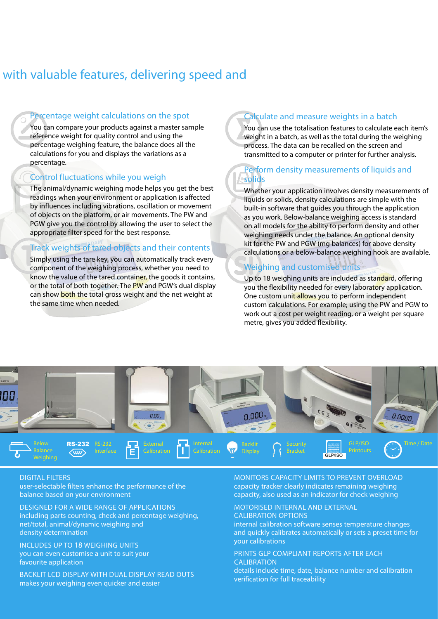## with valuable features, delivering speed and

#### Percentage weight calculations on the spot

You can compare your products against a master sample reference weight for quality control and using the percentage weighing feature, the balance does all the calculations for you and displays the variations as a percentage.

#### Control fluctuations while you weigh

The animal/dynamic weighing mode helps you get the best readings when your environment or application is affected by influences including vibrations, oscillation or movement of objects on the platform, or air movements. The PW and PGW give you the control by allowing the user to select the appropriate filter speed for the best response.

#### Track weights of tared objects and their contents

Simply using the tare key, you can automatically track every component of the weighing process, whether you need to know the value of the tared container, the goods it contains, or the total of both together. The PW and PGW's dual display can show both the total gross weight and the net weight at the same time when needed.

### Calculate and measure weights in a batch

You can use the totalisation features to calculate each item's weight in a batch, as well as the total during the weighing process. The data can be recalled on the screen and transmitted to a computer or printer for further analysis.

### Perform density measurements of liquids and solids

Whether your application involves density measurements of liquids or solids, density calculations are simple with the built-in software that guides you through the application as you work. Below-balance weighing access is standard on all models for the ability to perform density and other weighing needs under the balance. An optional density kit for the PW and PGW (mg balances) for above density calculations or a below-balance weighing hook are available.

## Weighing and customised units

Up to 18 weighing units are included as standard, offering you the flexibility needed for every laboratory application. One custom unit allows you to perform independent custom calculations. For example; using the PW and PGW to work out a cost per weight reading, or a weight per square metre, gives you added flexibility.



#### DIGITAL FILTERS

user-selectable filters enhance the performance of the balance based on your environment

DESIGNED FOR A WIDE RANGE OF APPLICATIONS including parts counting, check and percentage weighing, net/total, animal/dynamic weighing and density determination

INCLUDES UP TO 18 WEIGHING UNITS you can even customise a unit to suit your favourite application

BACKLIT LCD DISPLAY WITH DUAL DISPLAY READ OUTS makes your weighing even quicker and easier

MONITORS CAPACITY LIMITS TO PREVENT OVERLOAD capacity tracker clearly indicates remaining weighing capacity, also used as an indicator for check weighing

## MOTORISED INTERNAL AND EXTERNAL

CALIBRATION OPTIONS

internal calibration software senses temperature changes and quickly calibrates automatically or sets a preset time for your calibrations

PRINTS GLP COMPLIANT REPORTS AFTER EACH CALIBRATION details include time, date, balance number and calibration

verification for full traceability